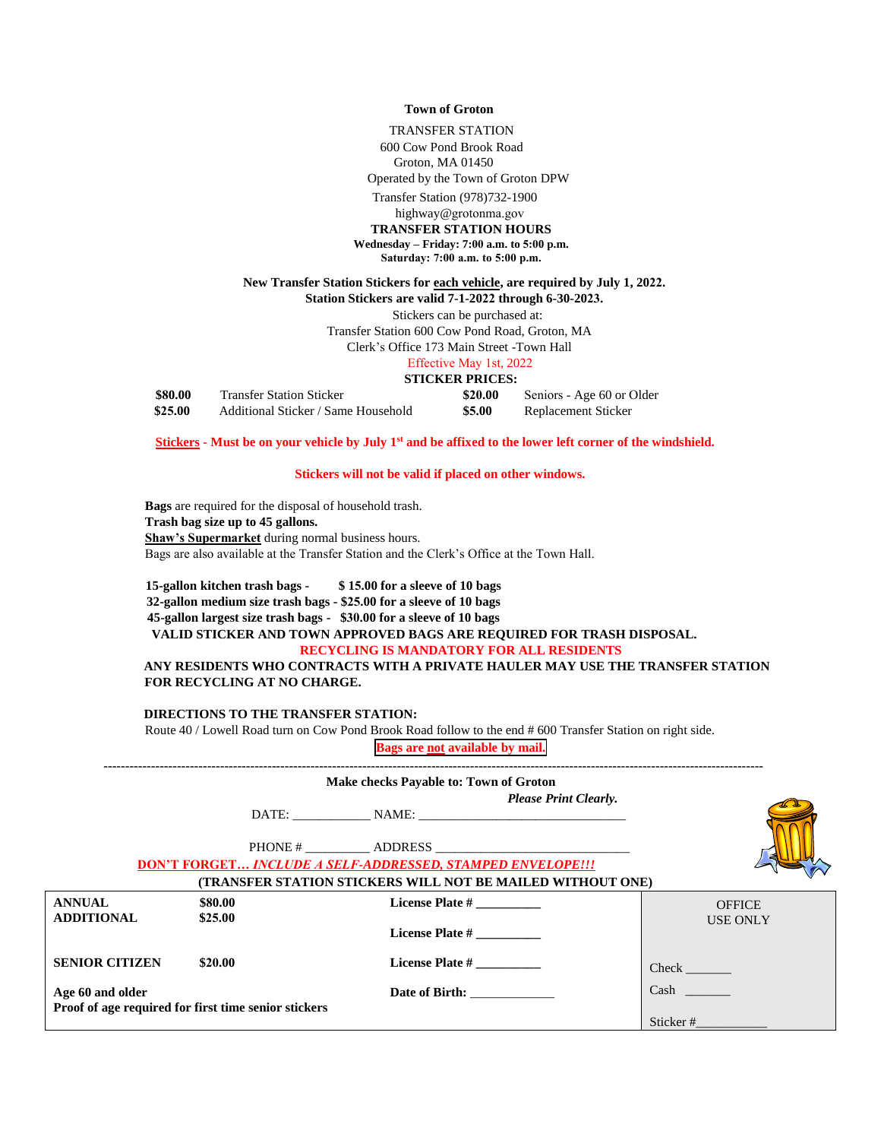#### **Town of Groton**

TRANSFER STATION

600 Cow Pond Brook Road Groton, MA 01450

Operated by the Town of Groton DPW

Transfer Station (978)732-1900

highway@grotonma.gov

**TRANSFER STATION HOURS**

**Wednesday – Friday: 7:00 a.m. to 5:00 p.m. Saturday: 7:00 a.m. to 5:00 p.m.**

## **New Transfer Station Stickers for each vehicle, are required by July 1, 2022.**

**Station Stickers are valid 7-1-2022 through 6-30-2023.**

Stickers can be purchased at:

Transfer Station 600 Cow Pond Road, Groton, MA

Clerk's Office 173 Main Street -Town Hall

### Effective May 1st, 2022

**STICKER PRICES:** 

| \$80.00 | <b>Transfer Station Sticker</b>     | \$20.00 | Seniors - Age 60 or Older |
|---------|-------------------------------------|---------|---------------------------|
| \$25.00 | Additional Sticker / Same Household | \$5.00  | Replacement Sticker       |

**Stickers - Must be on your vehicle by July 1st and be affixed to the lower left corner of the windshield.**

#### **Stickers will not be valid if placed on other windows.**

**Bags** are required for the disposal of household trash. **Trash bag size up to 45 gallons. Shaw's Supermarket** during normal business hours. Bags are also available at the Transfer Station and the Clerk's Office at the Town Hall.

**15-gallon kitchen trash bags - \$ 15.00 for a sleeve of 10 bags 32-gallon medium size trash bags - \$25.00 for a sleeve of 10 bags 45-gallon largest size trash bags - \$30.00 for a sleeve of 10 bags VALID STICKER AND TOWN APPROVED BAGS ARE REQUIRED FOR TRASH DISPOSAL.**

#### **RECYCLING IS MANDATORY FOR ALL RESIDENTS**

**ANY RESIDENTS WHO CONTRACTS WITH A PRIVATE HAULER MAY USE THE TRANSFER STATION FOR RECYCLING AT NO CHARGE.**

### **DIRECTIONS TO THE TRANSFER STATION:**

Route 40 / Lowell Road turn on Cow Pond Brook Road follow to the end # 600 Transfer Station on right side.

**Bags are not available by mail.**

|                                                      |         | Make checks Payable to: Town of Groton                            |                                                                   |                 |
|------------------------------------------------------|---------|-------------------------------------------------------------------|-------------------------------------------------------------------|-----------------|
|                                                      |         | <b>Please Print Clearly.</b>                                      |                                                                   |                 |
|                                                      |         | DATE: NAME:                                                       |                                                                   |                 |
|                                                      |         | PHONE # ADDRESS                                                   |                                                                   |                 |
|                                                      |         | <b>DON'T FORGET INCLUDE A SELF-ADDRESSED, STAMPED ENVELOPE!!!</b> |                                                                   |                 |
|                                                      |         |                                                                   | <b>(TRANSFER STATION STICKERS WILL NOT BE MAILED WITHOUT ONE)</b> |                 |
| <b>ANNUAL</b>                                        | \$80.00 | License Plate #                                                   |                                                                   | <b>OFFICE</b>   |
| ADDITIONAL                                           | \$25.00 | License Plate #                                                   |                                                                   | <b>USE ONLY</b> |
| <b>SENIOR CITIZEN</b>                                | \$20.00 | <b>License Plate #</b>                                            |                                                                   |                 |
| Age 60 and older                                     |         | Date of Birth:                                                    |                                                                   | Cash            |
| Proof of age required for first time senior stickers |         |                                                                   |                                                                   |                 |
|                                                      |         |                                                                   |                                                                   | Sticker#        |